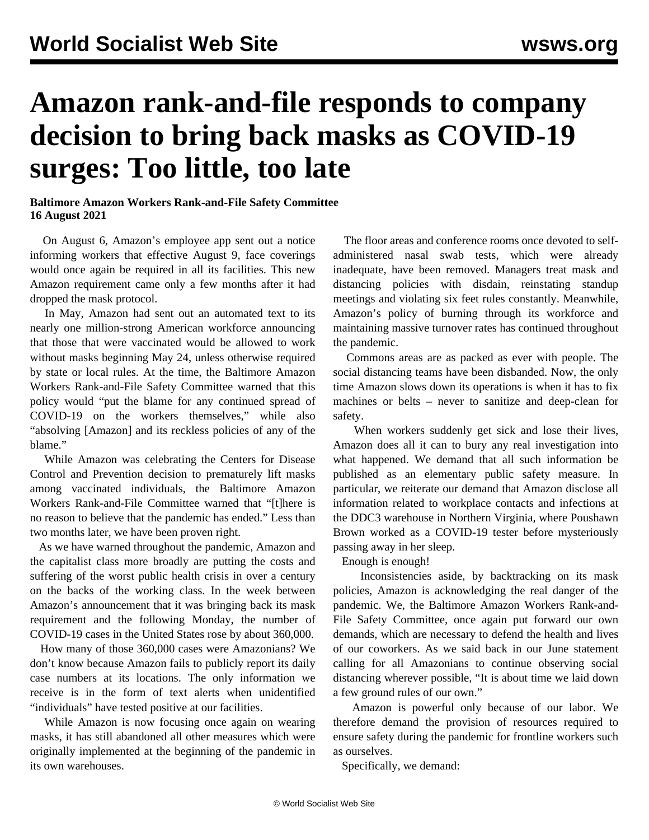## **Amazon rank-and-file responds to company decision to bring back masks as COVID-19 surges: Too little, too late**

## **Baltimore Amazon Workers Rank-and-File Safety Committee 16 August 2021**

 On August 6, Amazon's employee app sent out a notice informing workers that effective August 9, face coverings would once again be required in all its facilities. This new Amazon requirement came only a few months after it had dropped the mask protocol.

 In May, Amazon had [sent out](/en/articles/2021/05/22/amzn-m22.html) an automated text to its nearly one million-strong American workforce announcing that those that were vaccinated would be allowed to work without masks beginning May 24, unless otherwise required by state or local rules. At the time, the Baltimore Amazon Workers Rank-and-File Safety Committee [warned](/en/articles/2021/06/14/amaz-j14.html) that this policy would "put the blame for any continued spread of COVID-19 on the workers themselves," while also "absolving [Amazon] and its reckless policies of any of the blame."

 While Amazon was celebrating the Centers for Disease Control and Prevention decision to prematurely lift masks among vaccinated individuals, the Baltimore Amazon Workers Rank-and-File Committee warned that "[t]here is no reason to believe that the pandemic has ended." Less than two months later, we have been proven right.

 As we have [warned](/en/articles/2020/12/14/bwi2-d14.html) throughout the pandemic, Amazon and the capitalist class more broadly are putting the costs and suffering of the worst public health crisis in over a century on the backs of the working class. In the week between Amazon's announcement that it was bringing back its mask requirement and the following Monday, the number of COVID-19 cases in the United States rose by about 360,000.

 How many of those 360,000 cases were Amazonians? We don't know because Amazon fails to publicly report its daily case numbers at its locations. The only information we receive is in the form of text alerts when unidentified "individuals" have tested positive at our facilities.

 While Amazon is now focusing once again on wearing masks, it has still abandoned all other measures which were originally implemented at the beginning of the pandemic in its own warehouses.

 The floor areas and conference rooms once devoted to selfadministered nasal swab tests, which were already inadequate, have been removed. Managers treat mask and distancing policies with disdain, reinstating standup meetings and violating six feet rules constantly. Meanwhile, Amazon's policy of [burning](/en/articles/2021/06/28/amaz-j28.html) through its workforce and maintaining massive turnover rates has continued throughout the pandemic.

 Commons areas are as packed as ever with people. The social distancing teams have been disbanded. Now, the only time Amazon slows down its operations is when it has to fix machines or belts – never to sanitize and deep-clean for safety.

 When workers suddenly get sick and lose their lives, Amazon does all it can to bury any real investigation into what happened. We demand that all such information be published as an elementary public safety measure. In particular, we reiterate our [demand](/en/articles/2021/04/03/bwi2-a03.html) that Amazon disclose all information related to workplace contacts and infections at the DDC3 warehouse in Northern Virginia, where Poushawn Brown worked as a COVID-19 tester before mysteriously passing away in her sleep.

Enough is enough!

 Inconsistencies aside, by backtracking on its mask policies, Amazon is acknowledging the real danger of the pandemic. We, the Baltimore Amazon Workers Rank-and-File Safety Committee, once again put forward our own demands, which are necessary to defend the health and lives of our coworkers. As we said back in our [June statement](/en/articles/2021/06/14/amaz-j14.html) calling for all Amazonians to continue observing social distancing wherever possible, "It is about time we laid down a few ground rules of our own."

 Amazon is powerful only because of our labor. We therefore demand the provision of resources required to ensure safety during the pandemic for frontline workers such as ourselves.

Specifically, we demand: